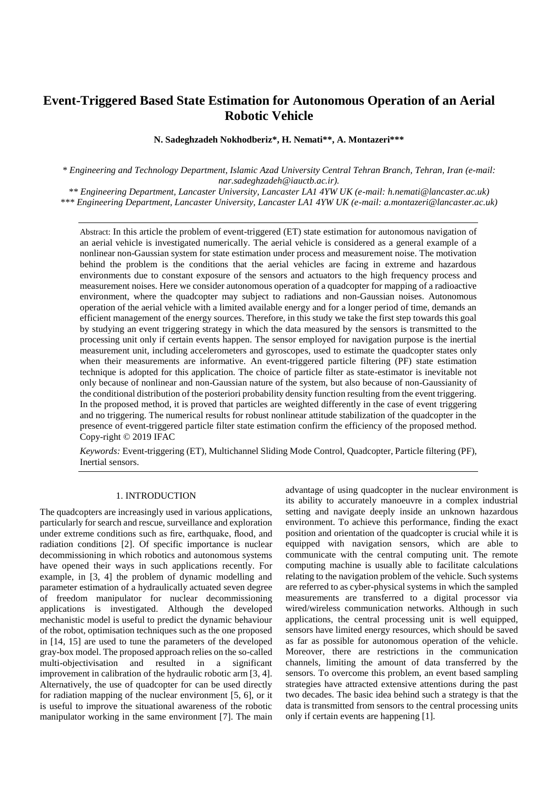# **Event-Triggered Based State Estimation for Autonomous Operation of an Aerial Robotic Vehicle**

**N. Sadeghzadeh Nokhodberiz\*, H. Nemati\*\*, A. Montazeri\*\*\***

*\* Engineering and Technology Department, Islamic Azad University Central Tehran Branch, Tehran, Iran (e-mail: nar.sadeghzadeh@iauctb.ac.ir).*

*\*\* Engineering Department, Lancaster University, Lancaster LA1 4YW UK (e-mail: h.nemati@lancaster.ac.uk) \*\*\* Engineering Department, Lancaster University, Lancaster LA1 4YW UK (e-mail: a.montazeri@lancaster.ac.uk)*

Abstract: In this article the problem of event-triggered (ET) state estimation for autonomous navigation of an aerial vehicle is investigated numerically. The aerial vehicle is considered as a general example of a nonlinear non-Gaussian system for state estimation under process and measurement noise. The motivation behind the problem is the conditions that the aerial vehicles are facing in extreme and hazardous environments due to constant exposure of the sensors and actuators to the high frequency process and measurement noises. Here we consider autonomous operation of a quadcopter for mapping of a radioactive environment, where the quadcopter may subject to radiations and non-Gaussian noises. Autonomous operation of the aerial vehicle with a limited available energy and for a longer period of time, demands an efficient management of the energy sources. Therefore, in this study we take the first step towards this goal by studying an event triggering strategy in which the data measured by the sensors is transmitted to the processing unit only if certain events happen. The sensor employed for navigation purpose is the inertial measurement unit, including accelerometers and gyroscopes, used to estimate the quadcopter states only when their measurements are informative. An event-triggered particle filtering (PF) state estimation technique is adopted for this application. The choice of particle filter as state-estimator is inevitable not only because of nonlinear and non-Gaussian nature of the system, but also because of non-Gaussianity of the conditional distribution of the posteriori probability density function resulting from the event triggering. In the proposed method, it is proved that particles are weighted differently in the case of event triggering and no triggering. The numerical results for robust nonlinear attitude stabilization of the quadcopter in the presence of event-triggered particle filter state estimation confirm the efficiency of the proposed method. Copy-right © 2019 IFAC

*Keywords:* Event-triggering (ET), Multichannel Sliding Mode Control, Quadcopter, Particle filtering (PF), Inertial sensors.

# 1. INTRODUCTION

The quadcopters are increasingly used in various applications, particularly for search and rescue, surveillance and exploration under extreme conditions such as fire, earthquake, flood, and radiation conditions [2]. Of specific importance is nuclear decommissioning in which robotics and autonomous systems have opened their ways in such applications recently. For example, in [3, 4] the problem of dynamic modelling and parameter estimation of a hydraulically actuated seven degree of freedom manipulator for nuclear decommissioning applications is investigated. Although the developed mechanistic model is useful to predict the dynamic behaviour of the robot, optimisation techniques such as the one proposed in [14, 15] are used to tune the parameters of the developed gray-box model. The proposed approach relies on the so-called multi-objectivisation and resulted in a significant improvement in calibration of the hydraulic robotic arm [3, 4]. Alternatively, the use of quadcopter for can be used directly for radiation mapping of the nuclear environment [5, 6], or it is useful to improve the situational awareness of the robotic manipulator working in the same environment [7]. The main

advantage of using quadcopter in the nuclear environment is its ability to accurately manoeuvre in a complex industrial setting and navigate deeply inside an unknown hazardous environment. To achieve this performance, finding the exact position and orientation of the quadcopter is crucial while it is equipped with navigation sensors, which are able to communicate with the central computing unit. The remote computing machine is usually able to facilitate calculations relating to the navigation problem of the vehicle. Such systems are referred to as cyber-physical systems in which the sampled measurements are transferred to a digital processor via wired/wireless communication networks. Although in such applications, the central processing unit is well equipped, sensors have limited energy resources, which should be saved as far as possible for autonomous operation of the vehicle. Moreover, there are restrictions in the communication channels, limiting the amount of data transferred by the sensors. To overcome this problem, an event based sampling strategies have attracted extensive attentions during the past two decades. The basic idea behind such a strategy is that the data is transmitted from sensors to the central processing units only if certain events are happening [1].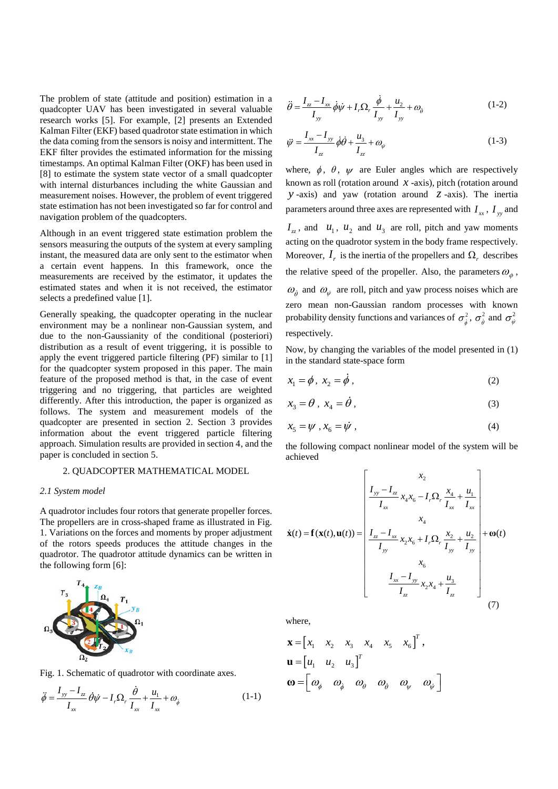The problem of state (attitude and position) estimation in a quadcopter UAV has been investigated in several valuable research works [5]. For example, [2] presents an Extended Kalman Filter (EKF) based quadrotor state estimation in which the data coming from the sensors is noisy and intermittent. The EKF filter provides the estimated information for the missing timestamps. An optimal Kalman Filter (OKF) has been used in [8] to estimate the system state vector of a small quadcopter with internal disturbances including the white Gaussian and measurement noises. However, the problem of event triggered state estimation has not been investigated so far for control and navigation problem of the quadcopters.

Although in an event triggered state estimation problem the sensors measuring the outputs of the system at every sampling instant, the measured data are only sent to the estimator when a certain event happens. In this framework, once the measurements are received by the estimator, it updates the estimated states and when it is not received, the estimator selects a predefined value [1].

Generally speaking, the quadcopter operating in the nuclear environment may be a nonlinear non-Gaussian system, and due to the non-Gaussianity of the conditional (posteriori) distribution as a result of event triggering, it is possible to apply the event triggered particle filtering (PF) similar to [1] for the quadcopter system proposed in this paper. The main feature of the proposed method is that, in the case of event triggering and no triggering, that particles are weighted differently. After this introduction, the paper is organized as follows. The system and measurement models of the quadcopter are presented in section 2. Section 3 provides information about the event triggered particle filtering approach. Simulation results are provided in section 4, and the paper is concluded in section 5.

#### 2. QUADCOPTER MATHEMATICAL MODEL

#### *2.1 System model*

A quadrotor includes four rotors that generate propeller forces. The propellers are in cross-shaped frame as illustrated in Fig. 1. Variations on the forces and moments by proper adjustment of the rotors speeds produces the attitude changes in the quadrotor. The quadrotor attitude dynamics can be written in the following form [6]:



Fig. 1. Schematic of quadrotor with coordinate axes.

$$
\ddot{\phi} = \frac{I_{yy} - I_{zz}}{I_{xx}} \dot{\theta}\dot{\psi} - I_{r}\Omega_{r} \frac{\dot{\theta}}{I_{xx}} + \frac{u_{1}}{I_{xx}} + \omega_{\dot{\phi}}
$$
(1-1)

$$
\ddot{\theta} = \frac{I_z - I_x}{I_y} \dot{\phi}\dot{\psi} + I_r \Omega_r \frac{\dot{\phi}}{I_y} + \frac{u_2}{I_y} + \omega_\phi
$$
 (1-2)

$$
\ddot{\psi} = \frac{I_{xx} - I_{yy}}{I_{zz}} \dot{\phi} \dot{\theta} + \frac{u_3}{I_{zz}} + \omega_{\dot{\psi}}
$$
\n(1-3)

where,  $\phi$ ,  $\theta$ ,  $\psi$  are Euler angles which are respectively known as roll (rotation around  $x$  -axis), pitch (rotation around *y* -axis) and yaw (rotation around *z* -axis). The inertia parameters around three axes are represented with  $I_{xx}$ ,  $I_{yy}$  and

 $I_{zz}$ , and  $u_1$ ,  $u_2$  and  $u_3$  are roll, pitch and yaw moments acting on the quadrotor system in the body frame respectively. Moreover,  $I_r$  is the inertia of the propellers and  $\Omega_r$  describes the relative speed of the propeller. Also, the parameters  $\omega_{\phi}$ ,  $\omega_{\rho}$  and  $\omega_{\psi}$  are roll, pitch and yaw process noises which are

zero mean non-Gaussian random processes with known probability density functions and variances of  $\sigma_{\dot{\phi}}^2$ ,  $\sigma_{\dot{\theta}}^2$  and  $\sigma_{\dot{\psi}}^2$ respectively.

Now, by changing the variables of the model presented in (1) in the standard state-space form

$$
x_1 = \phi, \ x_2 = \dot{\phi}, \tag{2}
$$

$$
x_3 = \theta \,, \ x_4 = \dot{\theta} \,, \tag{3}
$$

$$
x_5 = \psi, x_6 = \dot{\psi}, \tag{4}
$$

the following compact nonlinear model of the system will be achieved  $\begin{bmatrix} x_2 & 1 \end{bmatrix}$ 

$$
\dot{\mathbf{x}}(t) = \mathbf{f}(\mathbf{x}(t), \mathbf{u}(t)) = \begin{bmatrix} x_2 \\ \frac{I_{yy} - I_{zz}}{I_{xx}} x_4 x_6 - I_r \Omega_r \frac{x_4}{I_{xx}} + \frac{u_1}{I_{xx}} \\ x_4 \\ x_4 \\ \frac{I_{zz} - I_{xx}}{I_{yy}} x_2 x_6 + I_r \Omega_r \frac{x_2}{I_{yy}} + \frac{u_2}{I_{yy}} + \omega(t) \\ x_6 \\ \frac{I_{xx} - I_{yy}}{I_{zz}} x_2 x_4 + \frac{u_3}{I_{zz}} \end{bmatrix} + \omega(t)
$$
\n(7)

where,

$$
\mathbf{x} = \begin{bmatrix} x_1 & x_2 & x_3 & x_4 & x_5 & x_6 \end{bmatrix}^T, \mathbf{u} = \begin{bmatrix} u_1 & u_2 & u_3 \end{bmatrix}^T, \n\boldsymbol{\omega} = \begin{bmatrix} \omega_{\phi} & \omega_{\phi} & \omega_{\theta} & \omega_{\phi} & \omega_{\psi} & \omega_{\psi} \end{bmatrix}
$$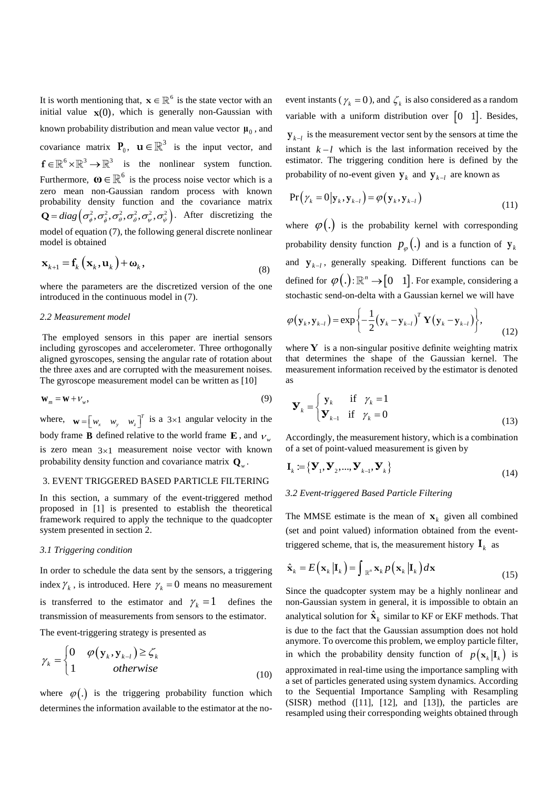It is worth mentioning that,  $\mathbf{x} \in \mathbb{R}^6$  is the state vector with an initial value  $\mathbf{x}(0)$ , which is generally non-Gaussian with known probability distribution and mean value vector  $\mu_0$ , and covariance matrix  $P_0$ ,  $\mathbf{u} \in \mathbb{R}^3$  is the input vector, and  $f \in \mathbb{R}^6 \times \mathbb{R}^3 \to \mathbb{R}^3$  is the nonlinear system function. Furthermore,  $\mathbf{\omega} \in \mathbb{R}^6$  is the process noise vector which is a zero mean non-Gaussian random process with known probability density function and the covariance matrix probability density function and the covariance matrix  $Q = diag(\sigma_{\phi}^2, \sigma_{\phi}^2, \sigma_{\theta}^2, \sigma_{\phi}^2, \sigma_{\phi}^2, \sigma_{\psi}^2, \sigma_{\psi}^2)$ . After discretizing the model of equation (7), the following general discrete nonlinear model is obtained

$$
\mathbf{x}_{k+1} = \mathbf{f}_k \left( \mathbf{x}_k, \mathbf{u}_k \right) + \boldsymbol{\omega}_k, \tag{8}
$$

where the parameters are the discretized version of the one introduced in the continuous model in (7).

#### *2.2 Measurement model*

The employed sensors in this paper are inertial sensors including gyroscopes and accelerometer. Three orthogonally aligned gyroscopes, sensing the angular rate of rotation about the three axes and are corrupted with the measurement noises. The gyroscope measurement model can be written as [10]

$$
\mathbf{W}_m = \mathbf{W} + V_w,\tag{9}
$$

where,  $\mathbf{w} = \begin{bmatrix} w_x & w_y & w_z \end{bmatrix}^T$  is a 3×1 angular velocity in the body frame **B** defined relative to the world frame **E**, and  $v_w$ is zero mean  $3\times1$  measurement noise vector with known probability density function and covariance matrix **Q***<sup>w</sup>* .

## 3. EVENT TRIGGERED BASED PARTICLE FILTERING

In this section, a summary of the event-triggered method proposed in [1] is presented to establish the theoretical framework required to apply the technique to the quadcopter system presented in section 2.

#### *3.1 Triggering condition*

In order to schedule the data sent by the sensors, a triggering index  $\gamma_k$ , is introduced. Here  $\gamma_k = 0$  means no measurement is transferred to the estimator and  $\gamma_k = 1$  defines the transmission of measurements from sensors to the estimator.

The event-triggering strategy is presented as

$$
\gamma_{k} = \begin{cases} 0 & \varphi(\mathbf{y}_{k}, \mathbf{y}_{k-l}) \ge \zeta_{k} \\ 1 & otherwise \end{cases}
$$
 (10)

where  $\varphi(.)$  is the triggering probability function which determines the information available to the estimator at the noevent instants ( $\gamma_k = 0$ ), and  $\zeta_k$  is also considered as a random variable with a uniform distribution over  $\begin{bmatrix} 0 & 1 \end{bmatrix}$ . Besides,  $\mathbf{y}_{k-l}$  is the measurement vector sent by the sensors at time the instant  $k - l$  which is the last information received by the estimator. The triggering condition here is defined by the probability of no-event given  $y_k$  and  $y_{k-l}$  are known as

$$
Pr(\gamma_k = 0 | \mathbf{y}_k, \mathbf{y}_{k-l}) = \varphi(\mathbf{y}_k, \mathbf{y}_{k-l})
$$
\n(11)

where  $\varphi(.)$  is the probability kernel with corresponding probability density function  $p_{\varphi}$  (.) and is a function of  $y_{k}$ and  $\mathbf{y}_{k-l}$ , generally speaking. Different functions can be defined for  $\varphi(.)$ :  $\mathbb{R}^n \rightarrow [0 \ 1]$ . For example, considering a

stochastic send-on-delta with a Gaussian kernel we will have  
\n
$$
\varphi(\mathbf{y}_k, \mathbf{y}_{k-l}) = \exp\left\{-\frac{1}{2}(\mathbf{y}_k - \mathbf{y}_{k-l})^T \mathbf{Y} (\mathbf{y}_k - \mathbf{y}_{k-l})\right\},\tag{12}
$$

where **Y** is a non-singular positive definite weighting matrix that determines the shape of the Gaussian kernel. The measurement information received by the estimator is denoted as

$$
\mathbf{y}_{k} = \begin{cases} \mathbf{y}_{k} & \text{if } \gamma_{k} = 1 \\ \mathbf{y}_{k-1} & \text{if } \gamma_{k} = 0 \end{cases}
$$
(13)

Accordingly, the measurement history, which is a combination of a set of point-valued measurement is given by

$$
\mathbf{I}_{k} \coloneqq \left\{ \mathbf{Y}_{1}, \mathbf{Y}_{2}, ..., \mathbf{Y}_{k-1}, \mathbf{Y}_{k} \right\}
$$
\n(14)

#### *3.2 Event-triggered Based Particle Filtering*

The MMSE estimate is the mean of  $\mathbf{x}_k$  given all combined (set and point valued) information obtained from the eventtriggered scheme, that is, the measurement history  $\mathbf{I}_k$  as

$$
\hat{\mathbf{x}}_k = E\left(\mathbf{x}_k \,|\mathbf{I}_k\right) = \int_{\mathbb{R}^n} \mathbf{x}_k \, p\left(\mathbf{x}_k \,|\mathbf{I}_k\right) d\mathbf{x} \tag{15}
$$

Since the quadcopter system may be a highly nonlinear and non-Gaussian system in general, it is impossible to obtain an analytical solution for  $\hat{\mathbf{x}}_k$  similar to KF or EKF methods. That is due to the fact that the Gaussian assumption does not hold anymore. To overcome this problem, we employ particle filter, in which the probability density function of  $p(\mathbf{x}_k | \mathbf{I}_k)$  is approximated in real-time using the importance sampling with a set of particles generated using system dynamics. According to the Sequential Importance Sampling with Resampling  $(SISR)$  method  $([11], [12],$  and  $[13])$ , the particles are resampled using their corresponding weights obtained through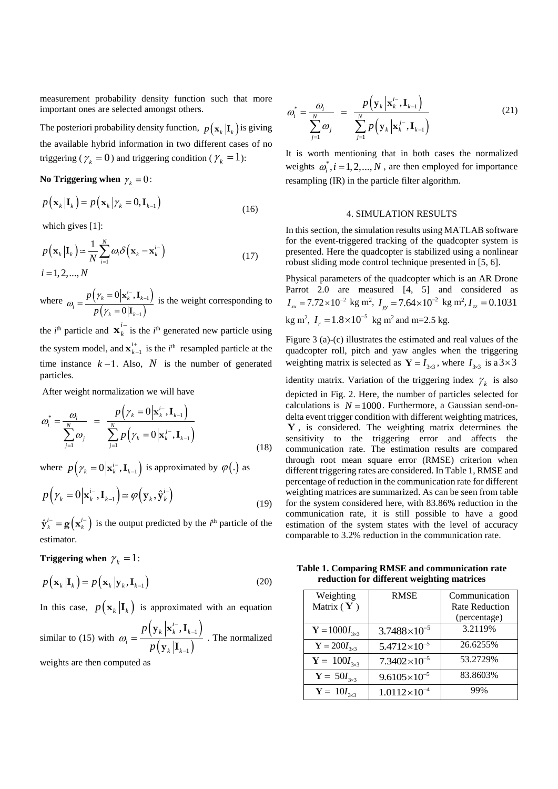measurement probability density function such that more important ones are selected amongst others.

The posteriori probability density function,  $p\left(\mathbf{x}_{k} \middle| \mathbf{I}_{k}\right)$  is giving the available hybrid information in two different cases of no triggering ( $\gamma_k = 0$ ) and triggering condition ( $\gamma_k = 1$ ):

No Triggering when  $\gamma_k = 0$ :

$$
p(\mathbf{x}_{k}|\mathbf{I}_{k}) = p(\mathbf{x}_{k}|\gamma_{k} = 0, \mathbf{I}_{k-1})
$$
\n(16)

which gives [1]:

$$
p(\mathbf{x}_{k}|\mathbf{I}_{k}) \approx \frac{1}{N} \sum_{i=1}^{N} \omega_{i} \delta(\mathbf{x}_{k} - \mathbf{x}_{k}^{i-})
$$
  
\n $i = 1, 2, ..., N$  (17)

where  $\omega = \frac{p(\gamma_k = 0|\mathbf{x}_k^{t-}, \mathbf{I}_{k-1})}{\gamma_k}$  $(\gamma_k = 0|\mathbf{I}_{k-1})$ 1 1  $0 | \mathbf{x}_{k}^{i-}$ 0  $\mathbf{y}_k = 0 \left| \mathbf{x}_k^{i-}, \mathbf{I}_k \right|$  $p(\gamma_k = 0 | \mathbf{I}_k)$ *p p*  $\omega_i = \frac{p(\gamma_k)}{p(\gamma)}$  $_{k}^{-}, \mathbf{I}_{k-}$  $\overline{a}$  $=$  $=\frac{1}{p\left(\gamma_{k}\right)}$  $\mathbf{x}_{k}^{i-}$ , **I I** is the weight corresponding to

the *i*<sup>th</sup> particle and  $\mathbf{x}_i^i$ *k*  $\mathbf{x}_{k}^{i-}$  is the *i*<sup>th</sup> generated new particle using the system model, and  $\mathbf{x}_{k-1}^{\prime+}$ *i k*  $\mathbf{x}_{k-1}^{i+}$  is the *i*<sup>th</sup> resampled particle at the time instance  $k-1$ . Also, N is the number of generated particles.

After weight normalization we will have

$$
\omega_i^* = \frac{\omega_i}{\sum_{j=1}^N \omega_j} = \frac{p(\gamma_k = 0 | \mathbf{x}_k^{i-}, \mathbf{I}_{k-1})}{\sum_{j=1}^N p(\gamma_k = 0 | \mathbf{x}_k^{j-}, \mathbf{I}_{k-1})}
$$
(18)

where  $p(\gamma_k = 0 | \mathbf{x}_k^{i-}, \mathbf{I}_{k-1})$  is approximated by  $\varphi(.)$  as

$$
p(\gamma_k = 0 | \mathbf{x}_k^{i-}, \mathbf{I}_{k-1}) \simeq \varphi(\mathbf{y}_k, \hat{\mathbf{y}}_k^{i-})
$$
\n(19)

 $\hat{\mathbf{y}}_k^{i-} = \mathbf{g}(\mathbf{x}_k^{i-})$  is the output predicted by the *i*<sup>th</sup> particle of the estimator.

**Triggering** when  $\gamma_k = 1$ :

$$
p(\mathbf{x}_{k}|\mathbf{I}_{k}) = p(\mathbf{x}_{k}|\mathbf{y}_{k}, \mathbf{I}_{k-1})
$$
 (20)

In this case,  $p(\mathbf{x}_k | \mathbf{I}_k)$  is approximated with an equation

similar to (15) with  $\left(\mathbf{y}_k\left|\mathbf{x}_k^{t-},\mathbf{I}_{k-1}\right.\right)$  $(\mathbf{y}_k | \mathbf{I}_{k-1})$ 1 1  $\mathbf{x}_k^{i-}, \mathbf{I}_k$  $p(y_k|\mathbf{I}_k)$ *p*  $\omega_i = \frac{p}{p}$ --- $=$  $\mathbf{y}_k \left| \mathbf{x}_k^{i-}, \mathbf{I} \right|$  $\frac{1}{\mathbf{y}_k \cdot \mathbf{I}_{k-1}}$ . The normalized

weights are then computed as

$$
\omega_i^* = \frac{\omega_i}{\sum_{j=1}^N \omega_j} = \frac{p\left(\mathbf{y}_k \, \middle| \, \mathbf{x}_k^{i^-}, \mathbf{I}_{k-1}\right)}{\sum_{j=1}^N p\left(\mathbf{y}_k \, \middle| \, \mathbf{x}_k^{j^-}, \mathbf{I}_{k-1}\right)}
$$
(21)

It is worth mentioning that in both cases the normalized weights  $\omega_i^*$ ,  $i = 1, 2, ..., N$ , are then employed for importance resampling (IR) in the particle filter algorithm.

## 4. SIMULATION RESULTS

In this section, the simulation results using MATLAB software for the event-triggered tracking of the quadcopter system is presented. Here the quadcopter is stabilized using a nonlinear robust sliding mode control technique presented in [5, 6].

Physical parameters of the quadcopter which is an AR Drone Parrot 2.0 are measured [4, 5] and considered as  $I_{xx} = 7.72 \times 10^{-2}$  kg m<sup>2</sup>,  $I_{yy} = 7.64 \times 10^{-2}$  kg m<sup>2</sup>,  $I_{zz} = 0.1031$  $\text{kg m}^2$ ,  $I_r = 1.8 \times 10^{-5} \text{ kg m}^2$  and m=2.5 kg.

Figure 3 (a)-(c) illustrates the estimated and real values of the quadcopter roll, pitch and yaw angles when the triggering weighting matrix is selected as  $Y = I_{3\times 3}$ , where  $I_{3\times 3}$  is a  $3 \times 3$ 

identity matrix. Variation of the triggering index  $\gamma_k$  is also depicted in Fig. 2. Here, the number of particles selected for calculations is  $N = 1000$ . Furthermore, a Gaussian send-ondelta event trigger condition with different weighting matrices, **Y** , is considered. The weighting matrix determines the sensitivity to the triggering error and affects the communication rate. The estimation results are compared through root mean square error (RMSE) criterion when different triggering rates are considered. In Table 1, RMSE and percentage of reduction in the communication rate for different weighting matrices are summarized. As can be seen from table for the system considered here, with 83.86% reduction in the communication rate, it is still possible to have a good estimation of the system states with the level of accuracy comparable to 3.2% reduction in the communication rate.

**Table 1. Comparing RMSE and communication rate reduction for different weighting matrices**

| Weighting               | <b>RMSE</b>           | Communication         |
|-------------------------|-----------------------|-----------------------|
| Matrix $(Y)$            |                       | <b>Rate Reduction</b> |
|                         |                       | (percentage)          |
| $Y = 1000I_{3\times 3}$ | $3.7488\times10^{-5}$ | 3.2119%               |
| $Y = 200I_{3\times 3}$  | $5.4712\times10^{-5}$ | 26.6255%              |
| $Y = 100I_{3\times 3}$  | $7.3402\times10^{-5}$ | 53.2729%              |
| $Y = 50I_{3\times 3}$   | $9.6105\times10^{-5}$ | 83.8603%              |
| $Y = 10I_{3x3}$         | $1.0112\times10^{-4}$ | 99%                   |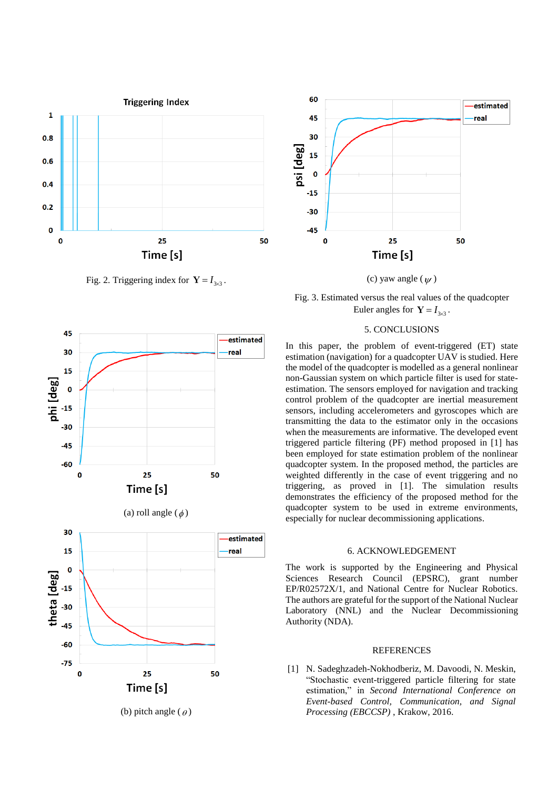

Fig. 2. Triggering index for  $Y = I_{3\times 3}$ .



(c) yaw angle  $(\psi)$ 

Fig. 3. Estimated versus the real values of the quadcopter Euler angles for  $Y = I_{3\times 3}$ .

# 5. CONCLUSIONS

In this paper, the problem of event-triggered (ET) state estimation (navigation) for a quadcopter UAV is studied. Here the model of the quadcopter is modelled as a general nonlinear non-Gaussian system on which particle filter is used for stateestimation. The sensors employed for navigation and tracking control problem of the quadcopter are inertial measurement sensors, including accelerometers and gyroscopes which are transmitting the data to the estimator only in the occasions when the measurements are informative. The developed event triggered particle filtering (PF) method proposed in [1] has been employed for state estimation problem of the nonlinear quadcopter system. In the proposed method, the particles are weighted differently in the case of event triggering and no triggering, as proved in [1]. The simulation results demonstrates the efficiency of the proposed method for the quadcopter system to be used in extreme environments, especially for nuclear decommissioning applications.

## 6. ACKNOWLEDGEMENT

The work is supported by the Engineering and Physical Sciences Research Council (EPSRC), grant number EP/R02572X/1, and National Centre for Nuclear Robotics. The authors are grateful for the support of the National Nuclear Laboratory (NNL) and the Nuclear Decommissioning Authority (NDA).

#### REFERENCES

[1] N. Sadeghzadeh-Nokhodberiz, M. Davoodi, N. Meskin, "Stochastic event-triggered particle filtering for state estimation," in *Second International Conference on Event-based Control, Communication, and Signal Processing (EBCCSP)* , Krakow, 2016.